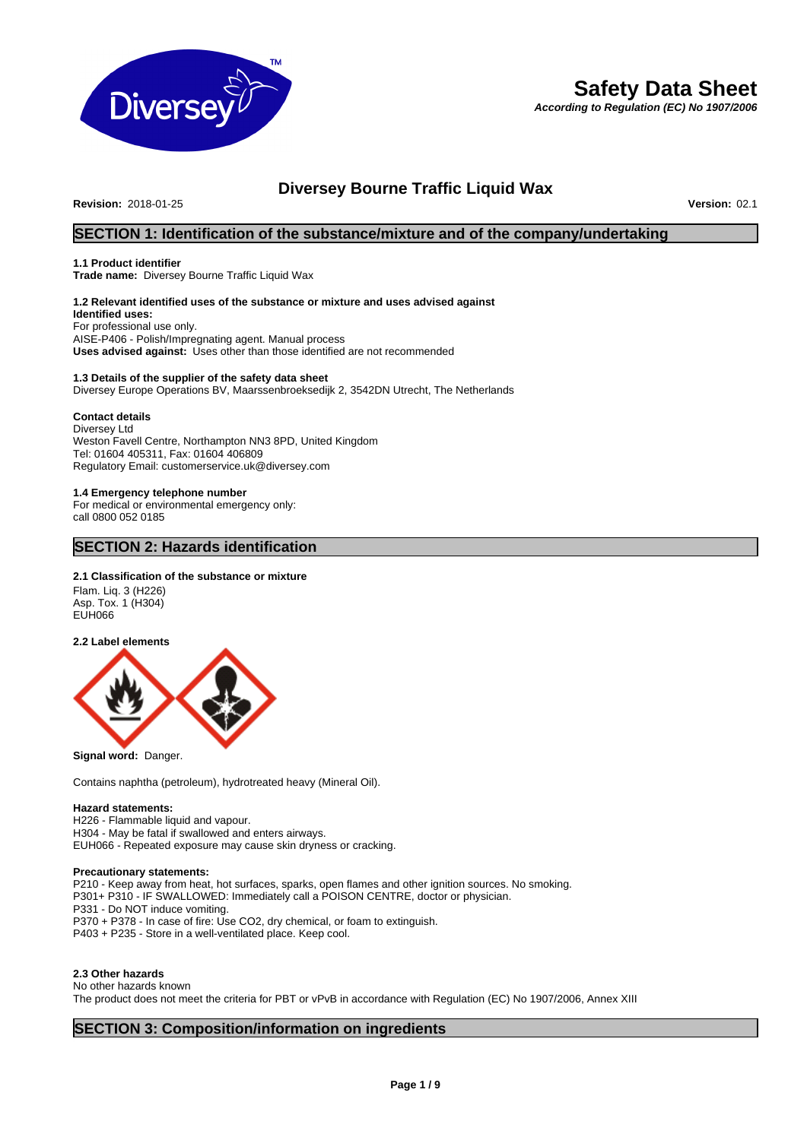

# **Safety Data Sheet**

*According to Regulation (EC) No 1907/2006*

# **Diversey Bourne Traffic Liquid Wax**<br>Version: 02.1

**Revision: 2018-01-25** 

# **SECTION 1: Identification of the substance/mixture and of the company/undertaking**

## **1.1 Product identifier**

**Trade name:** Diversey Bourne Traffic Liquid Wax

# **1.2 Relevant identified uses of the substance or mixture and uses advised against**

**Identified uses:** For professional use only. AISE-P406 - Polish/Impregnating agent. Manual process **Uses advised against:** Uses other than those identified are not recommended

### **1.3 Details of the supplier of the safety data sheet** Diversey Europe Operations BV, Maarssenbroeksedijk 2, 3542DN Utrecht, The Netherlands

# **Contact details**

Diversey Ltd Weston Favell Centre, Northampton NN3 8PD, United Kingdom Tel: 01604 405311, Fax: 01604 406809 Regulatory Email: customerservice.uk@diversey.com

# **1.4 Emergency telephone number**

For medical or environmental emergency only: call 0800 052 0185

# **SECTION 2: Hazards identification**

# **2.1 Classification of the substance or mixture**

Flam. Liq. 3 (H226) Asp. Tox. 1 (H304) EUH066

**2.2 Label elements**



**Signal word:** Danger.

Contains naphtha (petroleum), hydrotreated heavy (Mineral Oil).

### **Hazard statements:**

H226 - Flammable liquid and vapour. H304 - May be fatal if swallowed and enters airways. EUH066 - Repeated exposure may cause skin dryness or cracking.

# **Precautionary statements:**

P210 - Keep away from heat, hot surfaces, sparks, open flames and other ignition sources. No smoking. P301+ P310 - IF SWALLOWED: Immediately call a POISON CENTRE, doctor or physician. P331 - Do NOT induce vomiting. P370 + P378 - In case of fire: Use CO2, dry chemical, or foam to extinguish. P403 + P235 - Store in a well-ventilated place. Keep cool.

# **2.3 Other hazards**

No other hazards known

The product does not meet the criteria for PBT or vPvB in accordance with Regulation (EC) No 1907/2006, Annex XIII

# **SECTION 3: Composition/information on ingredients**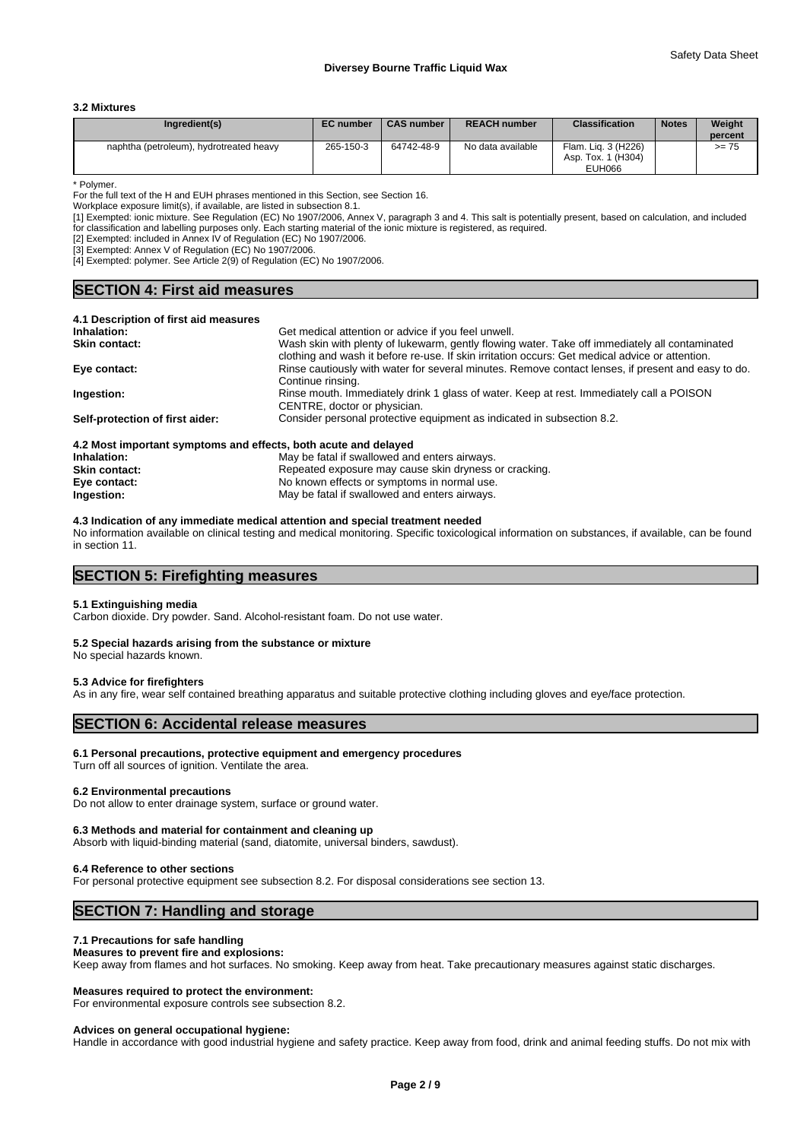#### **3.2 Mixtures**

| Ingredient(s)                           | <b>EC</b> number | <b>CAS number</b> | <b>REACH number</b> | <b>Classification</b>                     | <b>Notes</b> | Weight<br>percent |
|-----------------------------------------|------------------|-------------------|---------------------|-------------------------------------------|--------------|-------------------|
| naphtha (petroleum), hydrotreated heavy | 265-150-3        | 64742-48-9        | No data available   | Flam. Lig. 3 (H226)<br>Asp. Tox. 1 (H304) |              | $>= 75$           |
|                                         |                  |                   |                     | <b>EUH066</b>                             |              |                   |

\* Polymer.

For the full text of the H and EUH phrases mentioned in this Section, see Section 16.

Workplace exposure limit(s), if available, are listed in subsection 8.1.

[1] Exempted: ionic mixture. See Regulation (EC) No 1907/2006, Annex V, paragraph 3 and 4. This salt is potentially present, based on calculation, and included for classification and labelling purposes only. Each starting material of the ionic mixture is registered, as required.

[2] Exempted: included in Annex IV of Regulation (EC) No 1907/2006.

[3] Exempted: Annex V of Regulation (EC) No 1907/2006.

[4] Exempted: polymer. See Article 2(9) of Regulation (EC) No 1907/2006.

# **SECTION 4: First aid measures**

| 4.1 Description of first aid measures                           |                                                                                                                                                                                                   |
|-----------------------------------------------------------------|---------------------------------------------------------------------------------------------------------------------------------------------------------------------------------------------------|
| Inhalation:                                                     | Get medical attention or advice if you feel unwell.                                                                                                                                               |
| <b>Skin contact:</b>                                            | Wash skin with plenty of lukewarm, gently flowing water. Take off immediately all contaminated<br>clothing and wash it before re-use. If skin irritation occurs: Get medical advice or attention. |
| Eye contact:                                                    | Rinse cautiously with water for several minutes. Remove contact lenses, if present and easy to do.<br>Continue rinsing.                                                                           |
| Ingestion:                                                      | Rinse mouth. Immediately drink 1 glass of water. Keep at rest. Immediately call a POISON<br>CENTRE, doctor or physician.                                                                          |
| Self-protection of first aider:                                 | Consider personal protective equipment as indicated in subsection 8.2.                                                                                                                            |
| 4.2 Most important symptoms and effects, both acute and delayed |                                                                                                                                                                                                   |
| Inhalation:                                                     | May be fatal if swallowed and enters airways                                                                                                                                                      |

| Inhalation:          | May be fatal if swallowed and enters airways.         |
|----------------------|-------------------------------------------------------|
| <b>Skin contact:</b> | Repeated exposure may cause skin dryness or cracking. |
| Eye contact:         | No known effects or symptoms in normal use.           |
| Ingestion:           | May be fatal if swallowed and enters airways.         |

**4.3 Indication of any immediate medical attention and special treatment needed** No information available on clinical testing and medical monitoring. Specific toxicological information on substances, if available, can be found in section 11.

# **SECTION 5: Firefighting measures**

#### **5.1 Extinguishing media**

Carbon dioxide. Dry powder. Sand. Alcohol-resistant foam. Do not use water.

# **5.2 Special hazards arising from the substance or mixture**

No special hazards known.

# **5.3 Advice for firefighters**

As in any fire, wear self contained breathing apparatus and suitable protective clothing including gloves and eye/face protection.

# **SECTION 6: Accidental release measures**

# **6.1 Personal precautions, protective equipment and emergency procedures**

Turn off all sources of ignition. Ventilate the area.

#### **6.2 Environmental precautions**

Do not allow to enter drainage system, surface or ground water.

#### **6.3 Methods and material for containment and cleaning up**

Absorb with liquid-binding material (sand, diatomite, universal binders, sawdust).

# **6.4 Reference to other sections**

For personal protective equipment see subsection 8.2. For disposal considerations see section 13.

# **SECTION 7: Handling and storage**

### **7.1 Precautions for safe handling**

# **Measures to prevent fire and explosions:**

Keep away from flames and hot surfaces. No smoking. Keep away from heat. Take precautionary measures against static discharges.

# **Measures required to protect the environment:**

For environmental exposure controls see subsection 8.2.

#### **Advices on general occupational hygiene:**

Handle in accordance with good industrial hygiene and safety practice. Keep away from food, drink and animal feeding stuffs. Do not mix with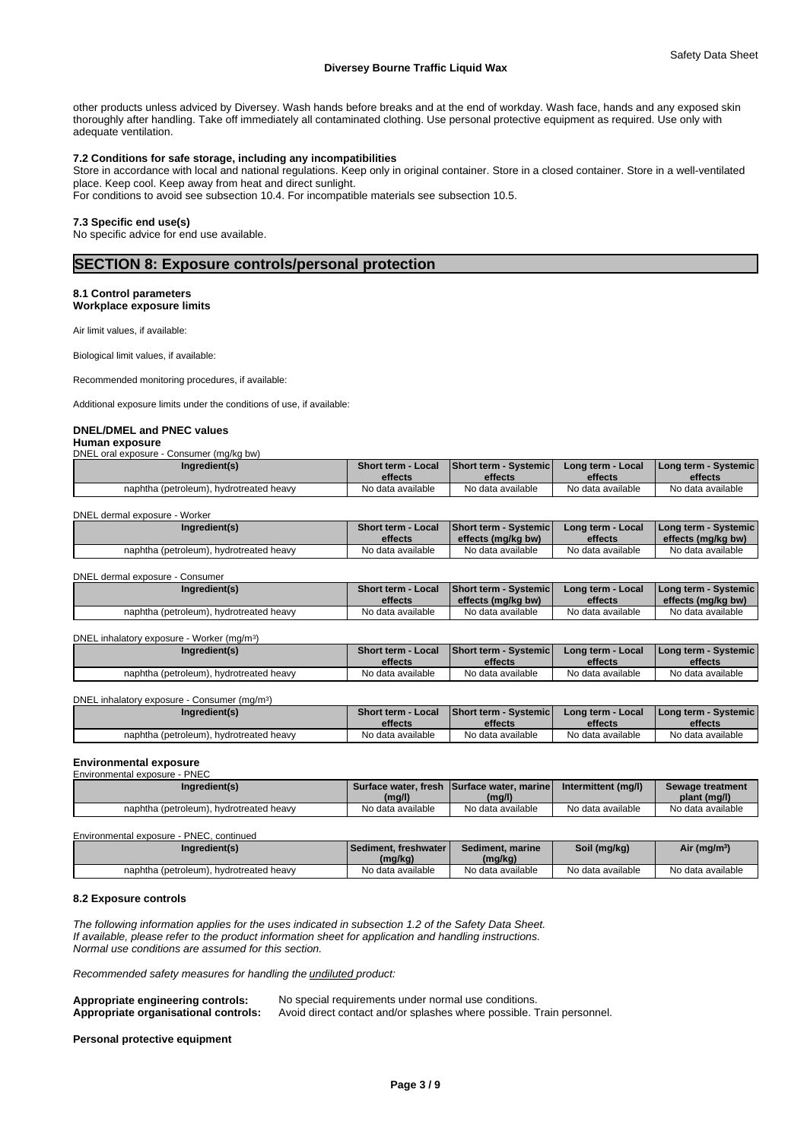other products unless adviced by Diversey. Wash hands before breaks and at the end of workday. Wash face, hands and any exposed skin thoroughly after handling. Take off immediately all contaminated clothing. Use personal protective equipment as required. Use only with adequate ventilation.

# **7.2 Conditions for safe storage, including any incompatibilities**

Store in accordance with local and national regulations. Keep only in original container. Store in a closed container. Store in a well-ventilated place. Keep cool. Keep away from heat and direct sunlight.

For conditions to avoid see subsection 10.4. For incompatible materials see subsection 10.5.

# **7.3 Specific end use(s)**

No specific advice for end use available.

# **SECTION 8: Exposure controls/personal protection**

#### **8.1 Control parameters Workplace exposure limits**

Air limit values, if available:

Biological limit values, if available:

Recommended monitoring procedures, if available:

Additional exposure limits under the conditions of use, if available:

# **DNEL/DMEL and PNEC values**

**Human exposure** DNEL oral exposure - Consumer (mg/kg bw)

| Ingredient(s)                           | <b>Short term - Local</b> | <b>Short term - Systemicl</b> | Long term - Local | <b>I Long term - Systemic i</b> |
|-----------------------------------------|---------------------------|-------------------------------|-------------------|---------------------------------|
|                                         | effects                   | effects                       | effects           | effects                         |
| naphtha (petroleum), hydrotreated heavy | No data available         | No data available             | No data available | No data available               |

#### DNEL dermal exposure - Worker

| Ingredient(s)                                | Short term -<br>Local<br>effects | <b>Short term - Systemic</b><br>effects (mg/kg bw) | Long term - Local<br>effects | l Long term - Systemic I<br>effects (mg/kg bw) |
|----------------------------------------------|----------------------------------|----------------------------------------------------|------------------------------|------------------------------------------------|
| naphtha (petroleum).<br>. hvdrotreated heavv | No data available                | No data available                                  | No data available            | No data available                              |

DNEL dermal exposure - Consumer

| Ingredient(s)                           | Short term - Local<br>effects | <b>Short term - Systemich</b><br>effects (ma/ka bw) | <b>Local</b><br>Long term -<br>effects | I Long term - Systemic I<br>effects (mg/kg bw) |
|-----------------------------------------|-------------------------------|-----------------------------------------------------|----------------------------------------|------------------------------------------------|
| naphtha (petroleum), hydrotreated heavy | No data available             | No data available                                   | No data available                      | No data available                              |

#### DNEL inhalatory exposure - Worker (mg/m<sup>3</sup>

| DNEL inhalatory exposure - Worker (mg/m <sup>3</sup> ) |                    |                               |                   |                      |
|--------------------------------------------------------|--------------------|-------------------------------|-------------------|----------------------|
| Ingredient(s)                                          | Short term - Local | <b>Short term - Systemicl</b> | Long term - Local | Long term - Systemic |
|                                                        | effects            | effects                       | effects           | effects              |
| naphtha (petroleum), hydrotreated heavy                | No data available  | No data available             | No data available | No data available    |

DNEL inhalatory exposure - Consumer (mg/m<sup>3</sup>  $)$ 

| Ingredient(s)                           | Short term<br>Local | <b>Short term - Systemicl</b> | 'Long term - Local | l Long term - Svstemic l |
|-----------------------------------------|---------------------|-------------------------------|--------------------|--------------------------|
|                                         | effects             | effects                       | effects            | effects                  |
| naphtha (petroleum), hydrotreated heavy | No data available   | No data available             | No data available  | No data available        |

# **Environmental exposure**

| Environmental exposure - PNEC           |                   |                                             |                     |                   |
|-----------------------------------------|-------------------|---------------------------------------------|---------------------|-------------------|
| Ingredient(s)                           |                   | Surface water, fresh ISurface water, marine | Intermittent (mg/l) | Sewage treatment  |
|                                         | (mg/l)            | (mg/l)                                      |                     | plant (mg/l)      |
| naphtha (petroleum), hydrotreated heavy | No data available | No data available                           | No data available   | No data available |

| Environmental exposure - PNEC, continued |                          |                   |                   |                          |
|------------------------------------------|--------------------------|-------------------|-------------------|--------------------------|
| Ingredient(s)                            | l Sediment. freshwater l | Sediment, marine  | Soil (mg/kg)      | Air (mg/m <sup>3</sup> ) |
|                                          | (mg/kg)                  | (mg/kg)           |                   |                          |
| naphtha (petroleum), hydrotreated heavy  | No data available        | No data available | No data available | No data available        |

#### **8.2 Exposure controls**

*The following information applies for the uses indicated in subsection 1.2 of the Safety Data Sheet. If available, please refer to the product information sheet for application and handling instructions. Normal use conditions are assumed for this section.*

*Recommended safety measures for handling the undiluted product:*

| <b>Appropriate engineering controls:</b> | No special requirements under normal use conditions.                  |
|------------------------------------------|-----------------------------------------------------------------------|
| Appropriate organisational controls:     | Avoid direct contact and/or splashes where possible. Train personnel. |

**Personal protective equipment**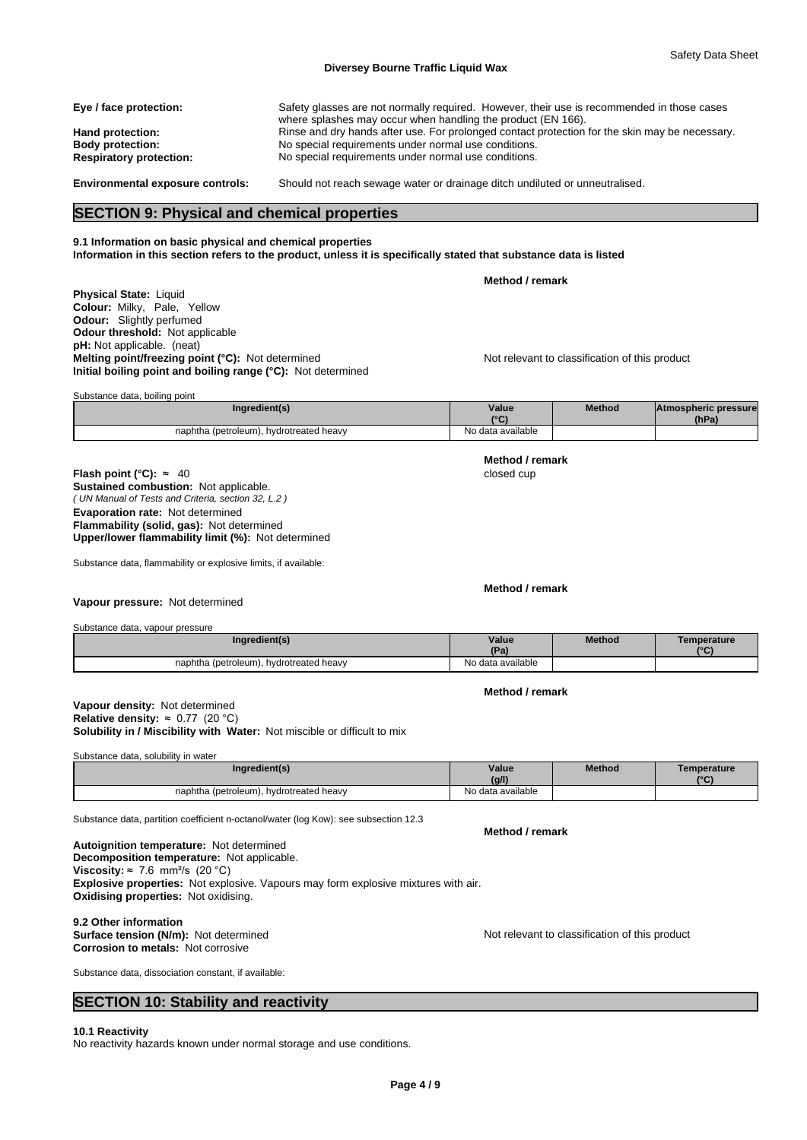| Eye / face protection:         | Safety glasses are not normally required. However, their use is recommended in those cases<br>where splashes may occur when handling the product (EN 166). |
|--------------------------------|------------------------------------------------------------------------------------------------------------------------------------------------------------|
| Hand protection:               | Rinse and dry hands after use. For prolonged contact protection for the skin may be necessary.                                                             |
| <b>Body protection:</b>        | No special requirements under normal use conditions.                                                                                                       |
| <b>Respiratory protection:</b> | No special requirements under normal use conditions.                                                                                                       |
|                                |                                                                                                                                                            |

**Environmental exposure controls:** Should not reach sewage water or drainage ditch undiluted or unneutralised.

# **SECTION 9: Physical and chemical properties**

# **9.1 Information on basic physical and chemical properties**

**Information in this section refers to the product, unless it is specifically stated that substance data is listed**

**Method / remark**

**Physical State:** Liquid **Colour:** Milky, Pale, Yellow **Odour:** Slightly perfumed **Odour threshold:** Not applicable **pH:** Not applicable. (neat) **Melting point/freezing point (°C):** Not determined Not relevant to classification of this product **Initial boiling point and boiling range (°C):** Not determined

| Substance data, boiling point           |                   |               |                             |  |  |  |  |
|-----------------------------------------|-------------------|---------------|-----------------------------|--|--|--|--|
| Ingredient(s)                           | Value             | <b>Method</b> | <b>Atmospheric pressure</b> |  |  |  |  |
|                                         | $\sim$            |               | (hPa)                       |  |  |  |  |
| naphtha (petroleum), hydrotreated heavy | No data available |               |                             |  |  |  |  |

*( UN Manual of Tests and Criteria, section 32, L.2 )* **Flash point (°C):** ≈ 40 closed cup **Sustained combustion:** Not applicable. **Evaporation rate:** Not determined **Flammability (solid, gas):** Not determined **Upper/lower flammability limit (%):** Not determined

Substance data, flammability or explosive limits, if available:

## **Vapour pressure:** Not determined

Substance data, vapour pressure

| Ingredient(s)                           | Value<br>ID <sub>n</sub><br>та. | <b>Method</b> | Temperature<br>$\sim$ |
|-----------------------------------------|---------------------------------|---------------|-----------------------|
| naphtha (petroleum), hydrotreated heavy | No data available               |               |                       |

**Method / remark**

**Solubility in / Miscibility with Water:** Not miscible or difficult to mix **Vapour density:** Not determined **Relative density:** ≈0.77(20°C)

Substance data, solubility in water

| Ingredient(s)                                | Value             | <b>Method</b> | Temperature  |
|----------------------------------------------|-------------------|---------------|--------------|
|                                              | (g/l)             |               | $10^{\circ}$ |
| naphtha (petroleum),<br>. hvdrotreated heavv | No data available |               |              |

Substance data, partition coefficient n-octanol/water (log Kow): see subsection 12.3

**Decomposition temperature:** Not applicable. **Autoignition temperature:** Not determined **Viscosity:**  $\approx$  7.6 mm<sup>2</sup>/s (20 °C) **Explosive properties:** Not explosive. Vapours may form explosive mixtures with air. **Oxidising properties:** Not oxidising.

# **9.2 Other information**

**Corrosion to metals:** Not corrosive

**Surface tension (N/m):** Not determined **Notification in the Not relevant to classification of this product** 

Substance data, dissociation constant, if available:

# **SECTION 10: Stability and reactivity**

**10.1 Reactivity**

No reactivity hazards known under normal storage and use conditions.

**Method / remark**

**Method / remark**

**Method / remark**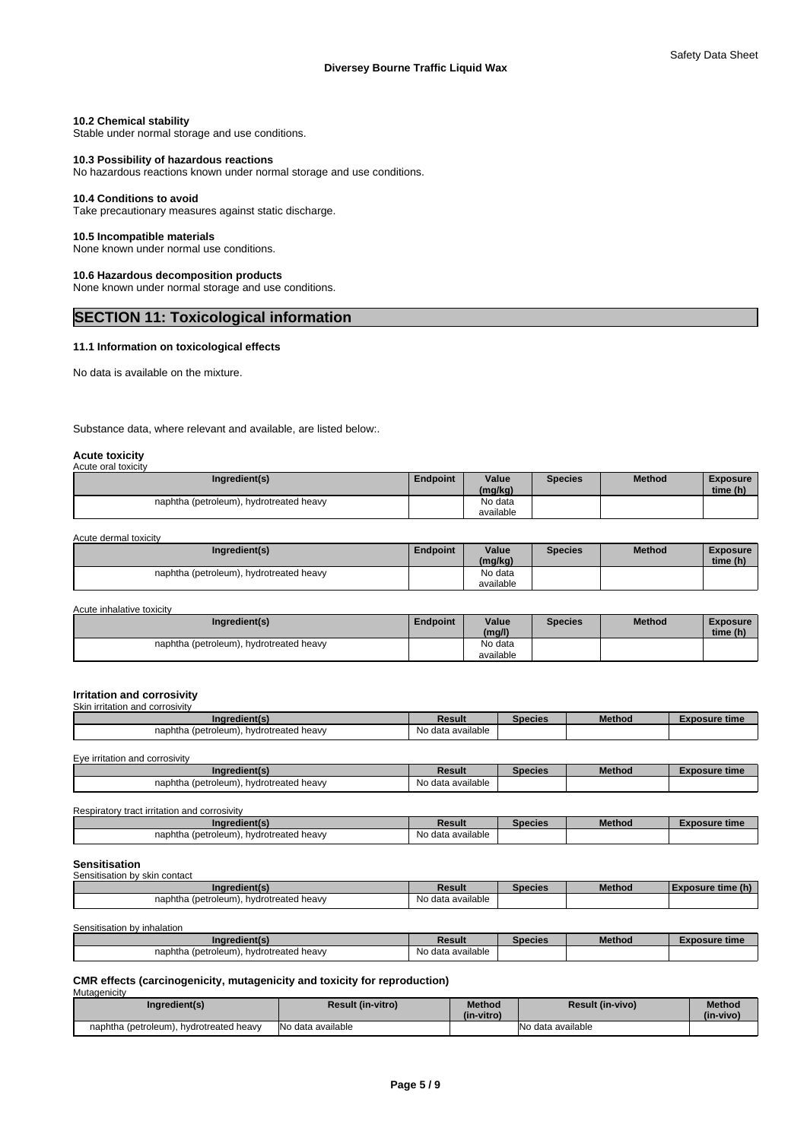### **10.2 Chemical stability**

Stable under normal storage and use conditions.

### **10.3 Possibility of hazardous reactions**

No hazardous reactions known under normal storage and use conditions.

# **10.4 Conditions to avoid**

Take precautionary measures against static discharge.

# **10.5 Incompatible materials**

None known under normal use conditions.

# **10.6 Hazardous decomposition products**

None known under normal storage and use conditions.

# **SECTION 11: Toxicological information**

# **11.1 Information on toxicological effects**

No data is available on the mixture.

Substance data, where relevant and available, are listed below:.

#### **Acute toxicity** Acute oral toxicity

| <b>AVUIT VIALIVAIVIIV</b> |                                         |          |                  |         |               |                             |  |
|---------------------------|-----------------------------------------|----------|------------------|---------|---------------|-----------------------------|--|
|                           | Ingredient(s)                           | Endpoint | Value<br>(mg/kg) | Species | <b>Method</b> | <b>Exposure</b><br>time (h) |  |
|                           | naphtha (petroleum), hydrotreated heavy |          | No data          |         |               |                             |  |
|                           |                                         |          | available        |         |               |                             |  |

Acute dermal toxicity

#### Acute inhalative toxicity

| Ingredient(s)                                | <b>Endpoint</b> | Value<br>(mg/l) | Species | <b>Method</b> | <b>Exposure</b><br>time (h) |
|----------------------------------------------|-----------------|-----------------|---------|---------------|-----------------------------|
| naphtha (petroleum),<br>. hvdrotreated heavv |                 | No data         |         |               |                             |
|                                              |                 | available       |         |               |                             |

# **Irritation and corrosivity**

| Ingredient(s)                                | Result            | <b>Species</b> | <b>Method</b> | <b>Exposure time</b> |
|----------------------------------------------|-------------------|----------------|---------------|----------------------|
| naphtha (petroleum), hydrotreated heavy      | No data available |                |               |                      |
|                                              |                   |                |               |                      |
| Eye irritation and corrosivity               |                   |                |               |                      |
| Ingredient(s)                                | Result            | <b>Species</b> | <b>Method</b> | <b>Exposure time</b> |
| naphtha (petroleum), hydrotreated heavy      | No data available |                |               |                      |
|                                              |                   |                |               |                      |
|                                              |                   |                |               |                      |
| Respiratory tract irritation and corrosivity |                   |                |               |                      |
| Ingredient(s)                                | Result            | <b>Species</b> | <b>Method</b> | <b>Exposure time</b> |

# **Sensitisation**

| Sensitisation by skin contact           |                   |        |               |                   |
|-----------------------------------------|-------------------|--------|---------------|-------------------|
| Ingredient(s)                           | Result            | necies | <b>Method</b> | Exposure time (h) |
| naphtha (petroleum), hydrotreated heavy | No data available |        |               |                   |

Sensitisation by inhalation

| redient(s)<br><b>Ina</b>                     | Result            | Species | Method | osure time<br>- A LF |
|----------------------------------------------|-------------------|---------|--------|----------------------|
| naphtha<br>(petroleum)<br>hvdrotreated heavv | No data available |         |        |                      |

#### **CMR effects (carcinogenicity, mutagenicity and toxicity for reproduction)** Mutagenicity

| Ingredient(s)                           | <b>Result (in-vitro)</b> | <b>Method</b><br>(in-vitro) | <b>Result (in-vivo)</b> | <b>Method</b><br>(in-vivo) |
|-----------------------------------------|--------------------------|-----------------------------|-------------------------|----------------------------|
| naphtha (petroleum), hydrotreated heavy | INo data available       |                             | No data available       |                            |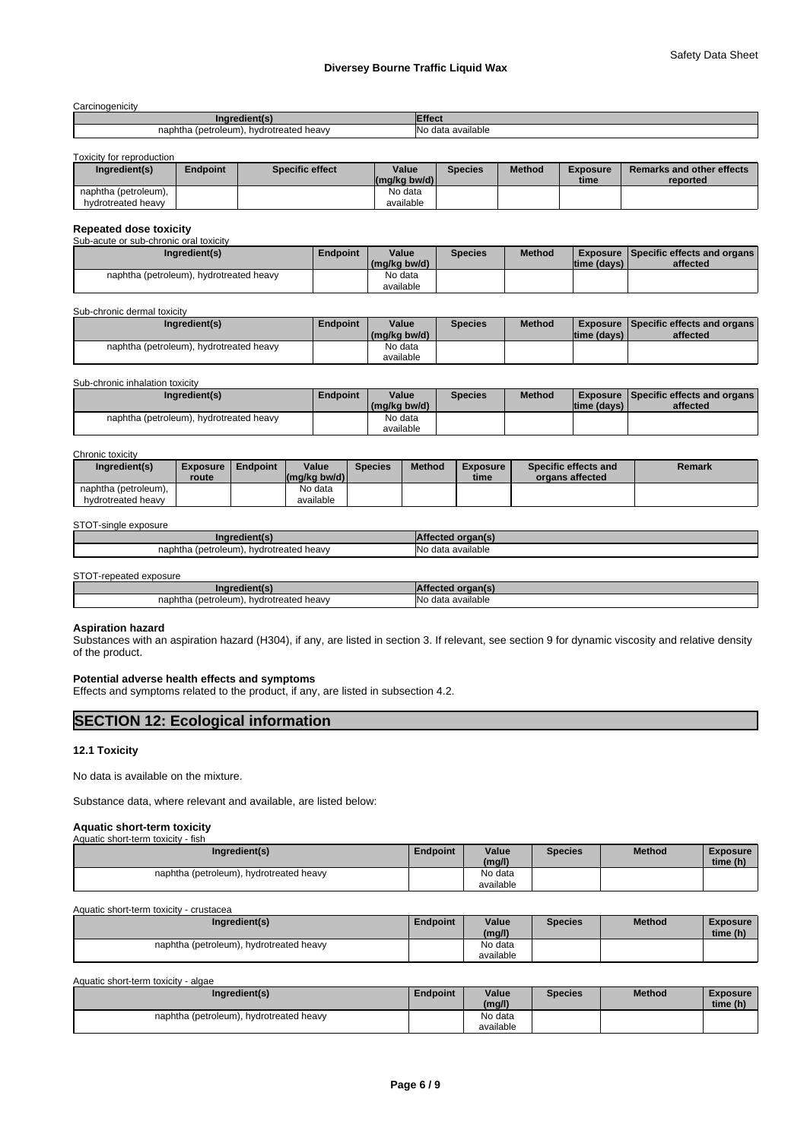**Carcinogenicity** 

| ---------------                              |                           |
|----------------------------------------------|---------------------------|
| Ingredient(                                  | ffect                     |
| (petroleum)<br>hydrotreated heavy<br>ำaphtha | <br>'No<br>data available |

Toxicity for reproduction

| Ingredient(s)        | Endpoint | Specific effect | Value<br>(mg/kg bw/d) | <b>Species</b> | <b>Method</b> | <b>Exposure</b><br>time | <b>Remarks and other effects</b><br>reported |
|----------------------|----------|-----------------|-----------------------|----------------|---------------|-------------------------|----------------------------------------------|
| naphtha (petroleum), |          |                 | No data               |                |               |                         |                                              |
| hydrotreated heavy   |          |                 | available             |                |               |                         |                                              |

# **Repeated dose toxicity** Sub-acute or sub-chronic oral toxicity

| <u>UUD UUULU ULUUD ULIIULIID ULUL IUAIULIV</u> |                                         |          |              |                |               |              |                                               |  |  |  |
|------------------------------------------------|-----------------------------------------|----------|--------------|----------------|---------------|--------------|-----------------------------------------------|--|--|--|
|                                                | Ingredient(s)                           | Endpoint | Value        | <b>Species</b> | <b>Method</b> |              | <b>Exposure Specific effects and organs I</b> |  |  |  |
|                                                |                                         |          | (mg/kg bw/d) |                |               | Itime (davs) | affected                                      |  |  |  |
|                                                | naphtha (petroleum), hydrotreated heavy |          | No data      |                |               |              |                                               |  |  |  |
|                                                |                                         |          | available    |                |               |              |                                               |  |  |  |

#### Sub-chronic dermal toxicity

|                      | Ingredient(s)       | Endpoint | Value        | Species | <b>Method</b> |             | <b>Exposure Specific effects and organs</b> |
|----------------------|---------------------|----------|--------------|---------|---------------|-------------|---------------------------------------------|
|                      |                     |          | (mg/kg bw/d) |         |               | time (days) | affected                                    |
| naphtha (petroleum), | hvdrotreated heavy. |          | No data      |         |               |             |                                             |
|                      |                     |          | available    |         |               |             |                                             |

#### Sub-chronic inhalation toxicity

| Ingredient(s)                              | Endpoint | Value        | <b>Species</b> | <b>Method</b> |             | <b>Exposure Specific effects and organs</b> |
|--------------------------------------------|----------|--------------|----------------|---------------|-------------|---------------------------------------------|
|                                            |          | (mg/kg bw/d) |                |               | time (davs) | affected                                    |
| hydrotreated heavy<br>naphtha (petroleum). |          | No data      |                |               |             |                                             |
|                                            |          | available    |                |               |             |                                             |

#### Chronic toxicity

| Ingredient(s)        | <b>Exposure</b><br>route | <b>Endpoint</b> | Value<br>$\left \frac{\text{mg}}{\text{kg}}\right $ bw/d) | <b>Species</b> | <b>Method</b> | <b>Exposure</b><br>time | Specific effects and<br>organs affected | Remark |
|----------------------|--------------------------|-----------------|-----------------------------------------------------------|----------------|---------------|-------------------------|-----------------------------------------|--------|
| naphtha (petroleum), |                          |                 | No data                                                   |                |               |                         |                                         |        |
| hydrotreated heavy   |                          |                 | available                                                 |                |               |                         |                                         |        |

# STOT-single exposure

| nn<br>. .                                   |                      |
|---------------------------------------------|----------------------|
| naphtha<br>hvdrotreated heavv<br>(petroleum | data available<br>N∩ |
|                                             |                      |

## STOT-repeated exposure

| hydrotreated heavy<br>naphtha<br>oleum.<br>(petro | $\cdots$<br>INc<br>available<br>$An+$ |
|---------------------------------------------------|---------------------------------------|

# **Aspiration hazard**

Substances with an aspiration hazard (H304), if any, are listed in section 3. If relevant, see section 9 for dynamic viscosity and relative density of the product.

#### **Potential adverse health effects and symptoms**

Effects and symptoms related to the product, if any, are listed in subsection 4.2.

# **SECTION 12: Ecological information**

# **12.1 Toxicity**

No data is available on the mixture.

Substance data, where relevant and available, are listed below:

#### **Aquatic short-term toxicity**

| Aquatic short-term toxicity - fish      |          |           |                |               |                 |
|-----------------------------------------|----------|-----------|----------------|---------------|-----------------|
| Ingredient(s)                           | Endpoint | Value     | <b>Species</b> | <b>Method</b> | <b>Exposure</b> |
|                                         |          | (mg/l)    |                |               | time (h)        |
| naphtha (petroleum), hydrotreated heavy |          | No data   |                |               |                 |
|                                         |          | available |                |               |                 |

Aquatic short-term toxicity - crustacea

| Ingredient(s)                           | <b>Endpoint</b> | Value<br>(mg/l)      | <b>Species</b> | <b>Method</b> | Exposure<br>time (h) |  |
|-----------------------------------------|-----------------|----------------------|----------------|---------------|----------------------|--|
| naphtha (petroleum), hydrotreated heavy |                 | No data<br>available |                |               |                      |  |

Aquatic short-term toxicity - algae

| Ingredient(s)                                | <b>Endpoint</b> | Value<br>(mg/l)      | Species | Method | Exposure<br>time (h) |
|----------------------------------------------|-----------------|----------------------|---------|--------|----------------------|
| naphtha (petroleum), h<br>hvdrotreated heavv |                 | No data<br>available |         |        |                      |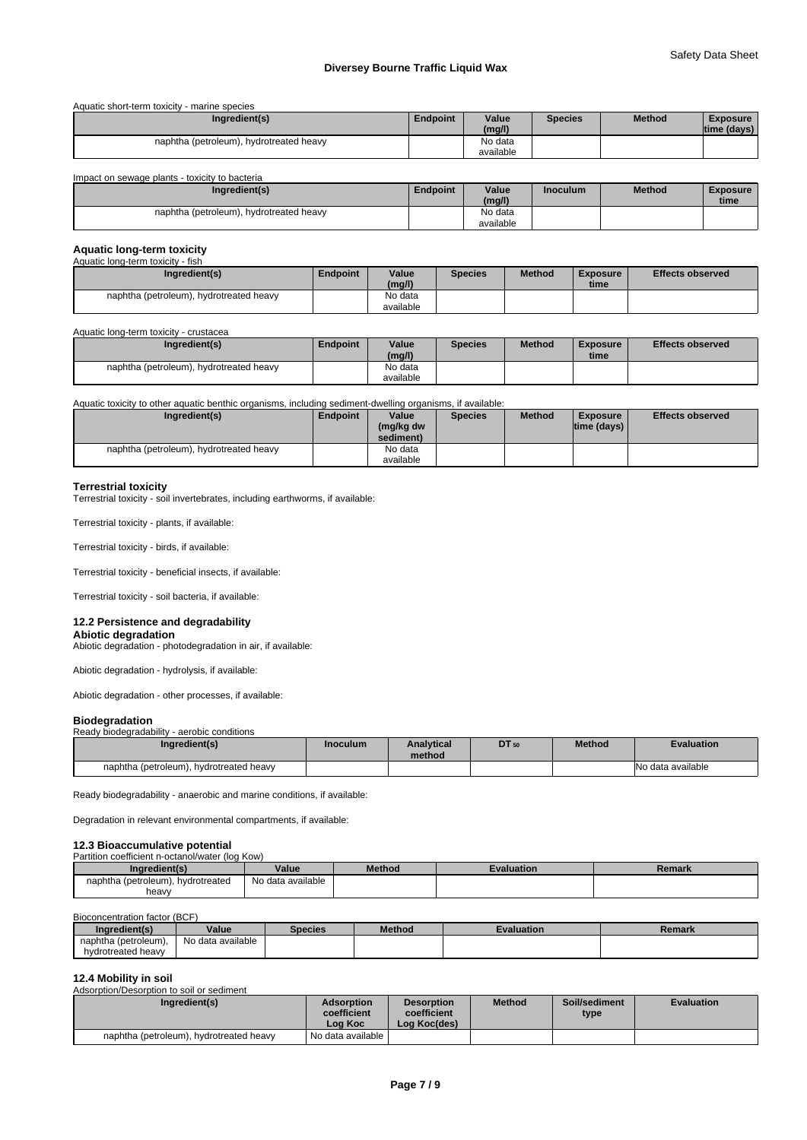|  | Aquatic short-term toxicity - marine species |
|--|----------------------------------------------|
|--|----------------------------------------------|

| Ingredient(s)                           | <b>Endpoint</b> | Value<br>(mg/l)      | <b>Species</b> | <b>Method</b> | <b>Exposure</b><br>time (days) |
|-----------------------------------------|-----------------|----------------------|----------------|---------------|--------------------------------|
| naphtha (petroleum), hydrotreated heavy |                 | No data<br>available |                |               |                                |

Impact on sewage plants - toxicity to bacteria

| Ingredient(s)                           | Endpoint | Value<br>(mg/l)      | <b>Inoculum</b> | <b>Method</b> | <b>Exposure</b><br>time |
|-----------------------------------------|----------|----------------------|-----------------|---------------|-------------------------|
| naphtha (petroleum), hydrotreated heavy |          | No data<br>available |                 |               |                         |

# **Aquatic long-term toxicity**

| Aquatic long-term toxicity - fish       |          |           |                |               |          |                         |
|-----------------------------------------|----------|-----------|----------------|---------------|----------|-------------------------|
| Ingredient(s)                           | Endpoint | Value     | <b>Species</b> | <b>Method</b> | Exposure | <b>Effects observed</b> |
|                                         |          | (mg/l)    |                |               | time     |                         |
| naphtha (petroleum), hydrotreated heavy |          | No data   |                |               |          |                         |
|                                         |          | available |                |               |          |                         |

## Aquatic long-term toxicity - crustacea

| Ingredient(s)                           | Endpoint | Value<br>(mg/l) | <b>Species</b> | <b>Method</b> | <b>Exposure</b><br>time | <b>Effects observed</b> |
|-----------------------------------------|----------|-----------------|----------------|---------------|-------------------------|-------------------------|
| naphtha (petroleum), hydrotreated heavy |          | No data         |                |               |                         |                         |
|                                         |          | available       |                |               |                         |                         |

## Aquatic toxicity to other aquatic benthic organisms, including sediment-dwelling organisms, if available:

| Ingredient(s)                           | Endpoint | Value<br>(mg/kg dw<br>sediment) | <b>Species</b> | <b>Method</b> | <b>Exposure</b><br> time (days) | <b>Effects observed</b> |
|-----------------------------------------|----------|---------------------------------|----------------|---------------|---------------------------------|-------------------------|
| naphtha (petroleum), hydrotreated heavy |          | No data<br>available            |                |               |                                 |                         |

## **Terrestrial toxicity**

Terrestrial toxicity - soil invertebrates, including earthworms, if available:

Terrestrial toxicity - plants, if available:

Terrestrial toxicity - birds, if available:

Terrestrial toxicity - beneficial insects, if available:

Terrestrial toxicity - soil bacteria, if available:

#### **12.2 Persistence and degradability**

**Abiotic degradation** Abiotic degradation - photodegradation in air, if available:

Abiotic degradation - hydrolysis, if available:

Abiotic degradation - other processes, if available:

# **Biodegradation**

| $-0.0000$ . $-0.0000$<br>Ready biodegradability - aerobic conditions |          |                             |       |               |                   |  |
|----------------------------------------------------------------------|----------|-----------------------------|-------|---------------|-------------------|--|
| Ingredient(s)                                                        | Inoculum | <b>Analytical</b><br>method | DT 50 | <b>Method</b> | <b>Evaluation</b> |  |
| naphtha (petroleum), hydrotreated heavy                              |          |                             |       |               | No data available |  |

Ready biodegradability - anaerobic and marine conditions, if available:

Degradation in relevant environmental compartments, if available:

# **12.3 Bioaccumulative potential**<br>Partition coefficient n-octanol/water (log Kow)

| annuoli cochicidii il octanoli watch nog rowl |                   |               |            |        |  |
|-----------------------------------------------|-------------------|---------------|------------|--------|--|
| Ingredient(s)                                 | Value             | <b>Method</b> | Evaluation | Remark |  |
| naphtha (petroleum), hydrotreated             | No data available |               |            |        |  |
| heavy                                         |                   |               |            |        |  |

# Bioconcentration factor (BCF)

| Inaredient(s)        | Value                | <b>Species</b> | <b>Method</b> | <b>Evaluation</b> | Remark |
|----------------------|----------------------|----------------|---------------|-------------------|--------|
| naphtha (petroleum), | data available<br>No |                |               |                   |        |
| hydrotreated heavy   |                      |                |               |                   |        |

# **12.4 Mobility in soil**

Adsorption/Desorption to soil or sediment

| Ingredient(s)                           | Adsorption<br>coefficient<br>Log Koc | <b>Desorption</b><br>coefficient<br>Log Koc(des) | <b>Method</b> | Soil/sediment<br>type | <b>Evaluation</b> |
|-----------------------------------------|--------------------------------------|--------------------------------------------------|---------------|-----------------------|-------------------|
| naphtha (petroleum), hydrotreated heavy | No data available                    |                                                  |               |                       |                   |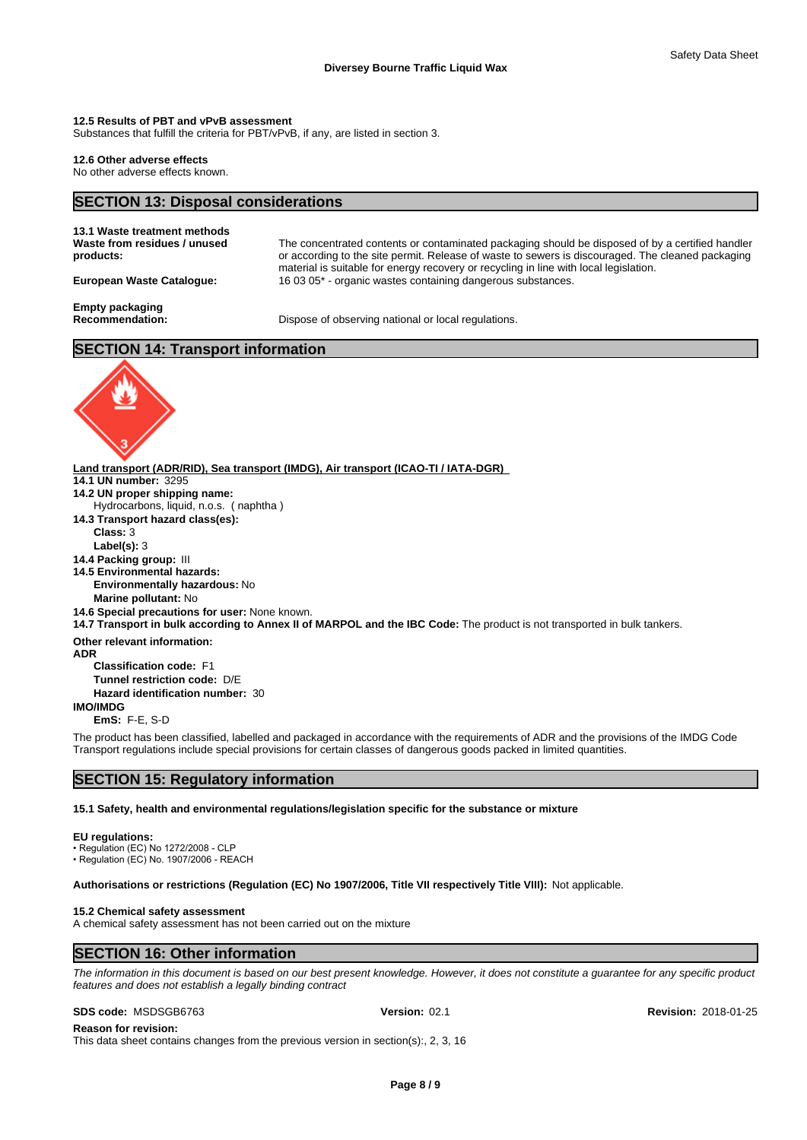### **12.5 Results of PBT and vPvB assessment**

Substances that fulfill the criteria for PBT/vPvB, if any, are listed in section 3.

# **12.6 Other adverse effects**

No other adverse effects known.

# **SECTION 13: Disposal considerations**

| 13.1 Waste treatment methods<br>Waste from residues / unused<br>products: | The concentrated contents or contaminated packaging should be disposed of by a certified handler<br>or according to the site permit. Release of waste to sewers is discouraged. The cleaned packaging<br>material is suitable for energy recovery or recycling in line with local legislation. |
|---------------------------------------------------------------------------|------------------------------------------------------------------------------------------------------------------------------------------------------------------------------------------------------------------------------------------------------------------------------------------------|
| European Waste Catalogue:                                                 | 16 03 05* - organic wastes containing dangerous substances.                                                                                                                                                                                                                                    |
| Empty packaging<br><b>Recommendation:</b>                                 | Dispose of observing national or local regulations.                                                                                                                                                                                                                                            |

# **SECTION 14: Transport information**



**14.1 UN number:** 3295 **14.2 UN proper shipping name: 14.3 Transport hazard class(es): Class:** 3 **Label(s):** 3 **14.4 Packing group:** III **14.5 Environmental hazards: Environmentally hazardous:** No **Marine pollutant:** No **14.6 Special precautions for user:** None known. **14.7 Transport in bulk according to Annex II of MARPOL and the IBC Code:** The product is not transported in bulk tankers. **Other relevant information: ADR Classification code:** F1 **Tunnel restriction code:** D/E Hydrocarbons, liquid, n.o.s. ( naphtha )

**Hazard identification number:** 30

#### **IMO/IMDG**

**EmS:** F-E, S-D

The product has been classified, labelled and packaged in accordance with the requirements of ADR and the provisions of the IMDG Code Transport regulations include special provisions for certain classes of dangerous goods packed in limited quantities.

# **SECTION 15: Regulatory information**

**15.1 Safety, health and environmental regulations/legislation specific for the substance or mixture**

#### **EU regulations:**

• Regulation (EC) No 1272/2008 - CLP  $\cdot$  Regulation (EC) No. 1907/2006 - REACH

**Authorisations or restrictions (Regulation (EC) No 1907/2006, Title VII respectively Title VIII):** Not applicable.

#### **15.2 Chemical safety assessment**

A chemical safety assessment has not been carried out on the mixture

# **SECTION 16: Other information**

*The information in this document is based on our best present knowledge. However, it does not constitute a guarantee for any specific product features and does not establish a legally binding contract*

#### **SDS code:** MSDSGB6763 **Version:** 02.1 **Revision:** 2018-01-25

**Reason for revision:** This data sheet contains changes from the previous version in section(s):, 2, 3, 16